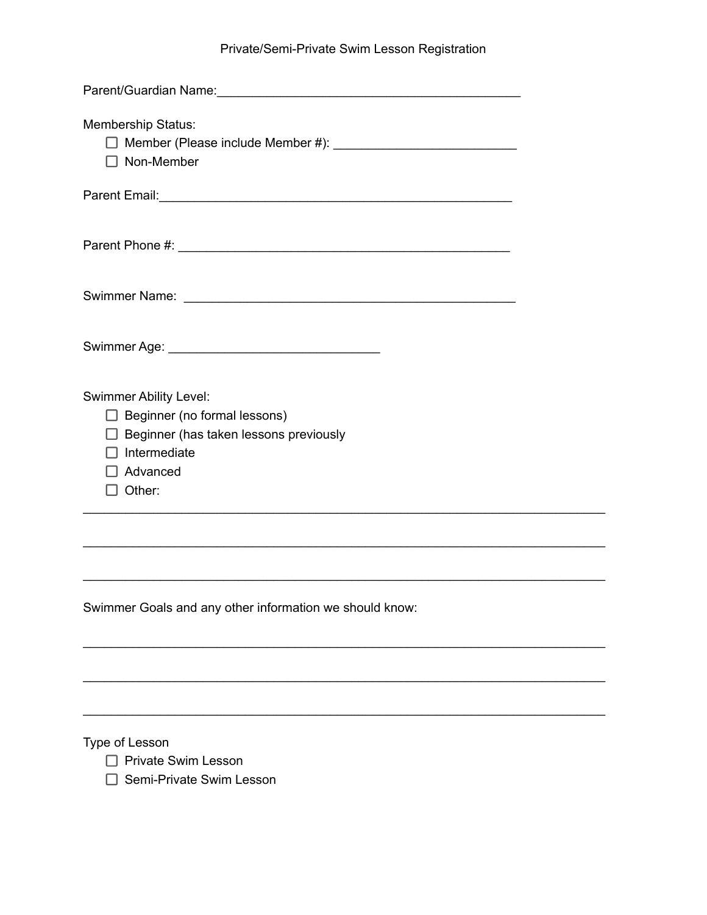## Private/Semi-Private Swim Lesson Registration

| Membership Status:<br>$\Box$ Non-Member       |  |
|-----------------------------------------------|--|
|                                               |  |
|                                               |  |
|                                               |  |
|                                               |  |
| <b>Swimmer Ability Level:</b>                 |  |
| $\Box$ Beginner (no formal lessons)           |  |
| $\Box$ Beginner (has taken lessons previously |  |
| Intermediate<br>Advanced                      |  |
| Other:                                        |  |
|                                               |  |
|                                               |  |

\_\_\_\_\_\_\_\_\_\_\_\_\_\_\_\_\_\_\_\_\_\_\_\_\_\_\_\_\_\_\_\_\_\_\_\_\_\_\_\_\_\_\_\_\_\_\_\_\_\_\_\_\_\_\_\_\_\_\_\_\_\_\_\_\_\_\_\_\_\_\_\_\_\_

\_\_\_\_\_\_\_\_\_\_\_\_\_\_\_\_\_\_\_\_\_\_\_\_\_\_\_\_\_\_\_\_\_\_\_\_\_\_\_\_\_\_\_\_\_\_\_\_\_\_\_\_\_\_\_\_\_\_\_\_\_\_\_\_\_\_\_\_\_\_\_\_\_\_

\_\_\_\_\_\_\_\_\_\_\_\_\_\_\_\_\_\_\_\_\_\_\_\_\_\_\_\_\_\_\_\_\_\_\_\_\_\_\_\_\_\_\_\_\_\_\_\_\_\_\_\_\_\_\_\_\_\_\_\_\_\_\_\_\_\_\_\_\_\_\_\_\_\_

\_\_\_\_\_\_\_\_\_\_\_\_\_\_\_\_\_\_\_\_\_\_\_\_\_\_\_\_\_\_\_\_\_\_\_\_\_\_\_\_\_\_\_\_\_\_\_\_\_\_\_\_\_\_\_\_\_\_\_\_\_\_\_\_\_\_\_\_\_\_\_\_\_\_

\_\_\_\_\_\_\_\_\_\_\_\_\_\_\_\_\_\_\_\_\_\_\_\_\_\_\_\_\_\_\_\_\_\_\_\_\_\_\_\_\_\_\_\_\_\_\_\_\_\_\_\_\_\_\_\_\_\_\_\_\_\_\_\_\_\_\_\_\_\_\_\_\_\_

Swimmer Goals and any other information we should know:

Type of Lesson

- **Private Swim Lesson**
- □ Semi-Private Swim Lesson